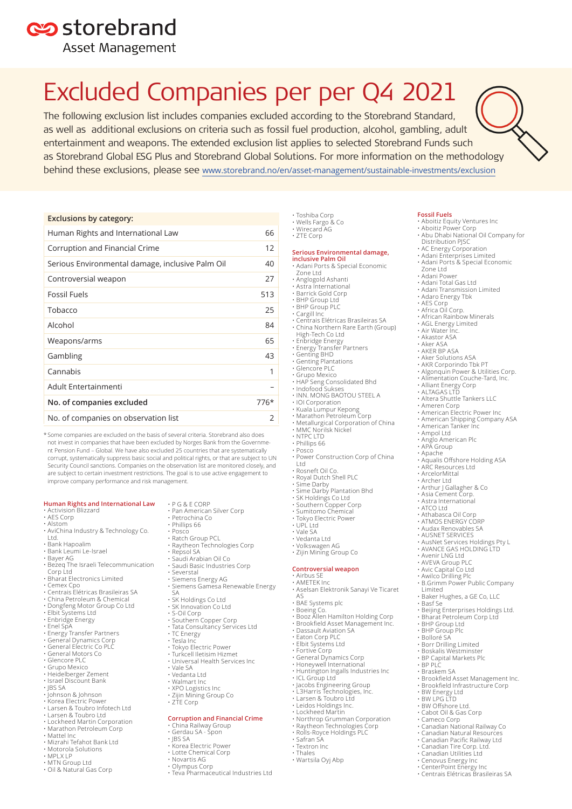## es storebrand

**Asset Management** 

# Excluded Companies per per Q4 2021

The following exclusion list includes companies excluded according to the Storebrand Standard, as well as additional exclusions on criteria such as fossil fuel production, alcohol, gambling, adult entertainment and weapons. The extended exclusion list applies to selected Storebrand Funds such as Storebrand Global ESG Plus and Storebrand Global Solutions. For more information on the methodology behind these exclusions, please see [www.storebrand.no/en/asset-management/sustainable-investments/exclusion](http://www.storebrand.no/en/asset-management/sustainable-investments/exclusion)

### **Exclusions by category:**

| Human Rights and International Law               | 66   |
|--------------------------------------------------|------|
| Corruption and Financial Crime                   | 12   |
| Serious Environmental damage, inclusive Palm Oil | 40   |
| Controversial weapon                             | 27   |
| Fossil Fuels                                     | 513  |
| Tobacco                                          | 25   |
| Alcohol                                          | 84   |
| Weapons/arms                                     | 65   |
| Gambling                                         | 43   |
| Cannabis                                         | 1    |
| Adult Entertainmenti                             |      |
| No. of companies excluded                        | 776* |
| No. of companies on observation list             | 2    |

\* Some companies are excluded on the basis of several criteria. Storebrand also does not invest in companies that have been excluded by Norges Bank from the Government Pension Fund – Global. We have also excluded 25 countries that are systematically corrupt, systematically suppress basic social and political rights, or that are subject to UN Security Council sanctions. Companies on the observation list are monitored closely, and are subject to certain investment restrictions. The goal is to use active engagement to improve company performance and risk management.

### **Human Rights and International Law**

• Activision Blizzard • AES Corp

### • Alstom

- AviChina Industry & Technology Co.
- Ltd. • Bank Hapoalim
- 
- Bank Leumi Le-Israel Bayer AG
- Bezeq The Israeli Telecommunication
- Corp Ltd
- 
- 
- 
- Bharat Electronics Limited Cemex Cpo Centrais Elétricas Brasileiras SA China Petroleum & Chemical Dongfeng Motor Group Co Ltd
- Elbit Systems Ltd
- Enbridge Energy
- 
- Enel SpA Energy Transfer Partners General Dynamics Corp General Electric Co PLC
- 
- 
- General Motors Co Glencore PLC
- Grupo Mexico
- Heidelberger Zement
- Israel Discount Bank JBS SA
- 
- Johnson & Johnson • Korea Electric Power
- 
- Larsen & Toubro Infotech Ltd Larsen & Toubro Ltd
- Lockheed Martin Corporation
- Marathon Petroleum Corp
- 
- Mattel Inc Mizrahi Tefahot Bank Ltd
- Motorola Solutions MPLX LP
- MTN Group Ltd
- Oil & Natural Gas Corp
- P G & E CORP
- Pan American Silver Corp Petrochina Co
- 
- Phillips 66 Posco
- Ratch Group PCL Raytheon Technologies Corp
- 
- Repsol SA Saudi Arabian Oil Co
- Saudi Basic Industries Corp
- Severstal
- Siemens Energy AG • Siemens Gamesa Renewable Energy
- SA
- SK Holdings Co Ltd SK Innovation Co Ltd
- 
- S-Oil Corp Southern Copper Corp
- 
- Tata Consultancy Services Ltd TC Energy
- Tesla Inc
- Tokyo Electric Power
- Turkcell Iletisim Hizmet Universal Health Services Inc
- 
- Vale SA Vedanta Ltd
- Walmart Inc
- XPO Logistics Inc
- Zijin Mining Group Co
- $\cdot$  7TF Corp.

### **Corruption and Financial Crime** • China Railway Group

- Gerdau SA Spon
- JBS SA Korea Electric Power Lotte Chemical Corp
	-
- Novartis AG
- 
- Olympus Corp • Teva Pharmaceutical Industries Ltd

### • Toshiba Corp • Wells Fargo & Co • Wirecard AG

- 
- ZTE Corp

**Fossil Fuels**

Zone Ltd • Adani Power • Adani Total Gas Ltd • Adani Transmission Limited • Adaro Energy Tbk • AES Corp • Africa Oil Corp. • African Rainbow Minerals • AGL Energy Limited • Air Water Inc. • Akastor ASA • Aker ASA • AKER BP ASA • Aker Solutions ASA • AKR Corporindo Tbk PT • Algonquin Power & Utilities Corp. • Alimentation Couche-Tard, Inc.

• Aboitiz Equity Ventures Inc • Aboitiz Power Corp • Abu Dhabi National Oil Company for

Distribution PJSC • AC Energy Corporation • Adani Enterprises Limited • Adani Ports & Special Economic

• Alliant Energy Corp • ALTAGAS LTD • Altera Shuttle Tankers LLC

• American Electric Power Inc • American Shipping Company ASA • American Tanker Inc • Ampol Ltd • Anglo American Plc • APA Group • Apache

• Aqualis Offshore Holding ASA • ARC Resources Ltd

• AusNet Services Holdings Pty L  $\cdot$  AVANCE GAS HOLDING LTD • Avenir LNG Ltd • AVEVA Group PLC • Avic Capital Co Ltd • Awilco Drilling Plc

• B.Grimm Power Public Company

• Brookfield Asset Management Inc. • Brookfield Infrastructure Corp

• Baker Hughes, a GE Co, LLC • Basf Se • Beijing Enterprises Holdings Ltd. • Bharat Petroleum Corp Ltd • BHP Group Ltd **BHP Group Plc** • Bolloré SA Borr Drilling Limited • Boskalis Westminster **BP Capital Markets Plc** 

• Arthur J Gallagher & Co • Asia Cement Corp. • Astra International • ATCO Ltd • Athabasca Oil Corp • ATMOS ENERGY CORP • Audax Renovables SA • AUSNET SERVICES

• Ameren Corp

• ArcelorMittal • Archer Ltd

Limited

• BP PLC • Braskem SA

• BW Energy Ltd • BW LPG LTD **BW Offshore Ltd** • Cabot Oil & Gas Corp • Cameco Corp • Canadian National Railway Co • Canadian Natural Resources • Canadian Pacific Railway Ltd • Canadian Tire Corp. Ltd. • Canadian Utilities Ltd • Cenovus Energy Inc • CenterPoint Energy Inc • Centrais Elétricas Brasileiras SA

- **Serious Environmental damage, inclusive Palm Oil** • Adani Ports & Special Economic
- Zone Ltd
- Anglogold Ashanti Astra International
- 
- Barrick Gold Corp BHP Group Ltd
- BHP Group PLC
- 
- Cargill Inc Centrais Elétricas Brasileiras SA • China Northern Rare Earth (Group) High-Tech Co Ltd
- 
- Enbridge Energy Energy Transfer Partners
- 
- Genting BHD Genting Plantations
- Glencore PLC Grupo Mexico
- 
- HAP Seng Consolidated Bhd
- Indofood Sukses INN. MONG BAOTOU STEEL A
- IOI Corporation
- Kuala Lumpur Kepong Marathon Petroleum Corp

• Rosneft Oil Co. • Royal Dutch Shell PLC • Sime Darby • Sime Darby Plantation Bhd • SK Holdings Co Ltd • Southern Copper Corp • Sumitomo Chemical • Tokyo Electric Power

- Metallurgical Corporation of China
- MMC Norilsk Nickel

• Power Construction Corp of China

• Aselsan Elektronik Sanayi Ve Ticaret

• Boeing Co. • Booz Allen Hamilton Holding Corp • Brookfield Asset Management Inc.

- NTPC LTD
- Phillips 66 • Posco

Ltd

• UPL Ltd • Vale SA • Vedanta Ltd • Volkswagen AG • Zijin Mining Group Co **Controversial weapon** • Airbus SE • AMETEK Inc

AS

• BAE Systems plc

• Dassault Aviation SA • Eaton Corp PLC • Elbit Systems Ltd • Fortive Corp • General Dynamics Corp • Honeywell International • Huntington Ingalls Industries Inc

• ICL Group Ltd • Jacobs Engineering Group • L3Harris Technologies, Inc. • Larsen & Toubro Ltd

• Northrop Grumman Corporation • Raytheon Technologies Corp • Rolls-Royce Holdings PLC

• Leidos Holdings Inc. • Lockheed Martin

• Safran SA • Textron Inc • Thales • Wartsila Oyj Abp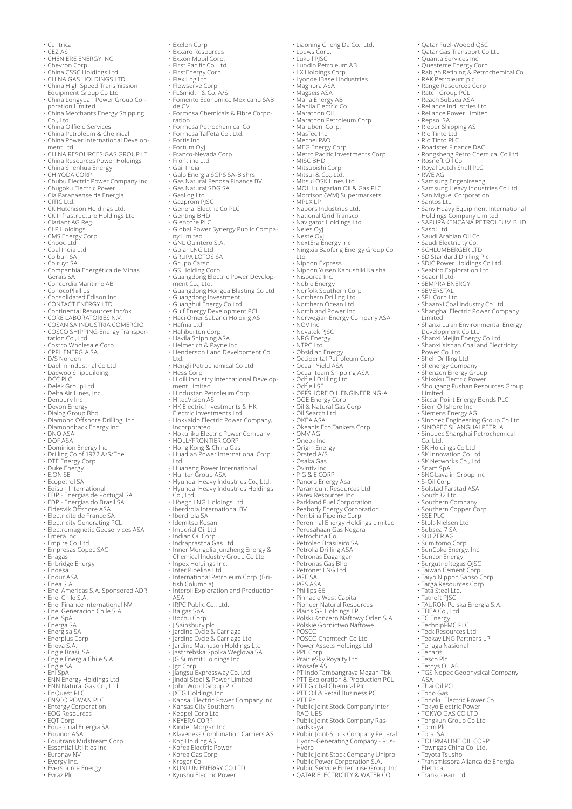- Centrica
- 
- 
- 
- 
- 
- 
- CEZ AS<br>• CHENIERE ENERGY INC<br>• Chevron Corp<br>• China CSSC Holdings Ltd<br>• CHINA GAS HOLDINGS LTD<br>• China High Speed Transmission<br>• Equipment Group Co Ltd<br>• China Longyuan Power Group Cor-<br>• China Merchants Energy Shipping
- 
- 
- Co., Ltd. China Oilfield Services China Petroleum & Chemical China Power International Develop-
- 
- ment Ltd CHINA RESOURCES GAS GROUP LT
- China Resources Power Holdings China Shenhua Energy
- 
- 
- CHIYODA CORP Chubu Electric Power Company Inc.
- Chugoku Electric Power Cia Paranaense de Energia
- 
- 
- CITIC Ltd. CK Hutchison Holdings Ltd. CK Infrastructure Holdings Ltd
- 
- 
- Clariant AG Reg CLP Holdings CMS Energy Corp Cnooc Ltd
- 
- Coal India Ltd Colbun SA
- 
- Colruyt SA Companhia Energética de Minas
- Gerais SA Concordia Maritime AB
- 
- ConocoPhillips Consolidated Edison Inc
- 
- CONTACT ENERGY LTD Continental Resources Inc/ok
- 
- 
- CORE LABORATORIES N.V. COSAN SA INDUSTRIA COMERCIO COSCO SHIPPING Energy Transpor-
- 
- tation Co., Ltd. Costco Wholesale Corp CPFL ENERGIA SA D/S Norden
- 
- 
- Daelim Industrial Co Ltd Daewoo Shipbuilding
- 
- DCC PLC Delek Group Ltd.
- 
- 
- 
- 
- Delta Air Lines, Inc. Denbury Inc Devon Energy Dialog Group Bhd. Diamond Offshore Drilling, Inc. Diamondback Energy Inc
- 
- DNO ASA DOF ASA
- 
- Dominion Energy Inc Drilling Co of 1972 A/S/The DTE Energy Corp
- 
- Duke Energy E.ON SE
- 
- Ecopetrol SA Edison International
- EDP Energias de Portugal SA EDP Energias do Brasil SA Eidesvik Offshore ASA Electricite de France SA
- 
- 
- 
- Electricity Generating PCL Electromagnetic Geoservices ASA
- 
- Emera Inc Empire Co. Ltd.
- Empresas Copec SAC
- Enagas Enbridge Energy
- 
- Endesa Endur ASA
- 
- Enea S.A. Enel Americas S.A. Sponsored ADR
- 
- Enel Chile S.A. Enel Finance International NV
- Enel Generacion Chile S.A. Enel SpA
- 
- 
- Energa SA Energisa SA Enerplus Corp. Eneva S.A.
- 
- 
- Engie Brasil SA Engie Energia Chile S.A.
- Engie SA<br>• Engie SA<br>• Eni SnA
- 
- 
- Eni SpA ENN Energy Holdings Ltd ENN Natural Gas Co., Ltd. EnQuest PLC ENSCO ROWAN PLC Entergy Corporation
- 
- 
- 
- 
- 
- 
- EOG Resources EQT Corp Equatorial Energia SA Equinor ASA Equitrans Midstream Corp Essential Utilities Inc
- 
- Euronav NV
- Evergy Inc.
- 
- Eversource Energy Evraz Plc
- Exelon Corp Exxaro Resources
- 
- Exxon Mobil Corp. First Pacific Co. Ltd.
- 

• Genting BHD

ny Limited • GNL Quintero S.A. • Golar LNG Ltd • GRUPA LOTOS SA • Grupo Carso • GS Holding Corp

• Halliburton Corp

Incorporated

Ltd.

- FirstEnergy Corp Flex Lng Ltd Flowserve Corp FLSmidth & Co. A/S
- 

• Fomento Economico Mexicano SAB de CV • Formosa Chemicals & Fibre Corporation • Formosa Petrochemical Co • Formosa Taffeta Co., Ltd. • Fortis Inc • Fortum Oyj • Franco-Nevada Corp. • Frontline Ltd • Gail India

• Liaoning Cheng Da Co., Ltd. • Loews Corp. • Lukoil PJSC • Lundin Petroleum AB • LX Holdings Corp • LyondellBasell Industries

• Qatar Fuel-Woqod QSC • Qatar Gas Transport Co Ltd

• Range Resources Corp • Ratch Group PCL • Reach Subsea ASA • Reliance Industries Ltd. • Reliance Power Limited • Repsol SA • Rieber Shipping AS • Rio Tinto Ltd • Rio Tinto PLC

• Rosneft Oil Co.<br>• Rosneft Oil Co.<br>• Royal Dutch Shell PLC

• Saudi Arabian Oil Co • Saudi Electricity Co. • SCHLUMBERGER LTD • SD Standard Drilling Plc

• Seadrill Ltd • SEMPRA ENERGY • SEVERSTAL • SFL Corp Ltd

• SDIC Power Holdings Co Ltd • Seabird Exploration Ltd

• Shaanxi Coal Industry Co Ltd • Shanghai Electric Power Company Limited • Shanxi Lu'an Environmental Energy

Development Co Ltd • Shanxi Meijin Energy Co Ltd • Shanxi Xishan Coal and Electricity Power Co. Ltd. • Shelf Drilling Ltd

• Shenergy Company • Shenzen Energy Group • Shikoku Electric Power • Shougang Fushan Resources Group

Limited • Siccar Point Energy Bonds PLC

Co. Ltd. • SK Holdings Co Ltd • SK Innovation Co Ltd • SK Networks Co., Ltd. • Snam SpA • SNC-Lavalin Group Inc • S-Oil Corp • Solstad Farstad ASA • South32 Ltd • Southern Company • Southern Copper Corp • SSE PLC

• Stolt-Nielsen Ltd • Subsea 7 SA • SULZER AG • Sumitomo Corp. • SunCoke Energy, Inc. • Suncor Energy • Surgutneftegas OJSC • Taiwan Cement Corp • Taiyo Nippon Sanso Corp. • Targa Resources Corp • Tata Steel Ltd. • Tatneft PJSC • TAURON Polska Energia S.A.

• TBEA Co., Ltd. • TC Energy • TechnipFMC PLC • Teck Resources Ltd

• Tenaris • Tesco Plc

ASA • Thai Oil PCL

• Torm Plc • Total SA

Eletrica • Transocean Ltd.

• Teekay LNG Partners LP • Tenaga Nasional

• Toho Gas • Tohoku Electric Power Co • Tokyo Electric Power • TOKYO GAS CO LTD • Tongkun Group Co Ltd

• TOURMALINE OIL CORP • Towngas China Co. Ltd. • Toyota Tsusho • Transmissora Alianca de Energia

• Tethys Oil AB • TGS Nopec Geophysical Company

• Siem Offshore Inc • Siemens Energy AG • Sinopec Engineering Group Co Ltd • SINOPEC SHANGHAI PETR. A • Sinopec Shanghai Petrochemical

• Sasol Ltd

• Quanta Services Inc • Questerre Energy Corp • Rabigh Refining & Petrochemical Co. • RAK Petroleum plc

• Roadster Finance DAC • Rongsheng Petro Chemical Co Ltd

• Royal Dutch Shell PLC • RWE AG • Samsung Engenireeng • Samsung Heavy Industries Co Ltd • San Miguel Corporation • Santos Ltd • Sany Heavy Equipment International Holdings Company Limited • SAPURAKENCANA PETROLEUM BHD

• MEG Energy Corp • Metro Pacific Investments Corp

• Mitsui & Co., Ltd. • Mitsui OSK Lines Ltd • MOL Hungarian Oil & Gas PLC • Morrison (WM) Supermarkets

• Ningxia Baofeng Energy Group Co Ltd

• Nippon Express • Nippon Yusen Kabushiki Kaisha • Nisource Inc. • Noble Energy

• Norwegian Energy Company ASA • NOV Inc • Novatek PJSC

• NRG Energy • NTPC Ltd • Obsidian Energy • Occidental Petroleum Corp

• Ocean Yield ASA • Oceanteam Shipping ASA

• OKEA ASA • Okeanis Eco Tankers Corp

• Panoro Energy Asa • Paramount Resources Ltd. • Parex Resources Inc • Parkland Fuel Corporation • Peabody Energy Corporation • Pembina Pipeline Corp • Perennial Energy Holdings Limited • Perusahaan Gas Negara

• Petrochina Co • Petroleo Brasileiro SA • Petrolia Drilling ASA • Petronas Dagangan • Petronas Gas Bhd

• Petronet LNG Ltd • PGE SA • PGS ASA • Phillips 66

• Pinnacle West Capital • Pioneer Natural Resources • Plains GP Holdings LP • Polski Koncern Naftowy Orlen S.A.

• PPL Corp • PrairieSky Royalty Ltd • Prosafe AS • PT Indo Tambangraya Megah Tbk • PTT Exploration & Production PCL

• Public Joint-Stock Company Unipro • Public Power Corporation S.A. • Public Service Enterprise Group Inc • QATAR ELECTRICITY & WATER CO

• PTT Global Chemical Plc • PTT Oil & Retail Business PCL • PTT Pcl • Public Joint Stock Company Inter RAO UES • Public Joint Stock Company Raspadskaya • Public Joint-Stock Company Federal Hydro-Generating Company - Rus-

Hydro

• Polskie Gornictwo Naftowe I • POSCO • POSCO Chemtech Co Ltd • Power Assets Holdings Ltd

• OMV AG • Oneok Inc • Origin Energy • Orsted A/S • Osaka Gas • Ovintiv Inc • P G & E CORP

• Odfjell Drilling Ltd • Odfjell SE • OFFSHORE OIL ENGINEERING-A • OGE Energy Corp • Oil & Natural Gas Corp • Oil Search Ltd

• Norfolk Southern Corp • Northern Drilling Ltd • Northern Ocean Ltd • Northland Power Inc.

• MPLX LP • Nabors Industries Ltd. • National Grid Transco • Navigator Holdings Ltd • Neles Oyj • Neste Oyj • NextEra Energy Inc

• Magnora ASA • Magseis ASA • Maha Energy AB • Manila Electric Co. • Marathon Oil • Marathon Petroleum Corp • Marubeni Corp.

• MasTec Inc • Mechel PAO

• MISC BHD • Mitsubishi Corp.

• Galp Energia SGPS SA-B shrs • Gas Natural Fenosa Finance BV • Gas Natural SDG SA • GasLog Ltd • Gazprom PJSC • General Electric Co PLC

• Glencore PLC • Global Power Synergy Public Compa-

• Guangdong Electric Power Develop-ment Co., Ltd.

• Guangdong Hongda Blasting Co Ltd • Guangdong Investment • Guanghui Energy Co Ltd • Gulf Energy Development PCL • Haci Omer Sabanci Holding AS • Hafnia Ltd

• Havila Shipping ASA • Helmerich & Payne Inc • Henderson Land Development Co.

• Hengli Petrochemical Co Ltd • Hess Corp • Hidili Industry International Develop-ment Limited

• Hokuriku Electric Power Company • HOLLYFRONTIER CORP • Hong Kong & China Gas • Huadian Power International Corp

Ltd • Huaneng Power International • Hunter Group ASA • Hyundai Heavy Industries Co., Ltd. • Hyundai Heavy Industries Holdings

• Indian Oil Corp • Indraprastha Gas Ltd • Inner Mongolia Junzheng Energy & Chemical Industry Group Co Ltd • Inpex Holdings Inc.

• Inter Pipeline Ltd • International Petroleum Corp. (British Columbia) • Interoil Exploration and Production

• J Sainsbury plc • Jardine Cycle & Carriage • Jardine Cycle & Carriage Ltd • Jardine Matheson Holdings Ltd

• Jastrzebska Spolka Weglowa SA • JG Summit Holdings Inc

• Kansai Electric Power Company Inc. • Kansas City Southern

• Kinder Morgan Inc • Klaveness Combination Carriers AS

• Jgc Corp • Jiangsu Expressway Co. Ltd. • Jindal Steel & Power Limited • John Wood Group PLC • JXTG Holdings Inc

• Keppel Corp Ltd • KEYERA CORP

• Koç Holding AS • Korea Electric Power • Korea Gas Corp • Kroger Co

• KUNLUN ENERGY CO LTD • Kyushu Electric Power

Co., Ltd • Höegh LNG Holdings Ltd. • Iberdrola International BV • Iberdrola SA

• Idemitsu Kosan • Imperial Oil Ltd

ASA • IRPC Public Co., Ltd. • Italgas SpA • Itochu Corp

• Hindustan Petroleum Corp • HitecVision AS • HK Electric Investments & HK Electric Investments Ltd • Hokkaido Electric Power Company,